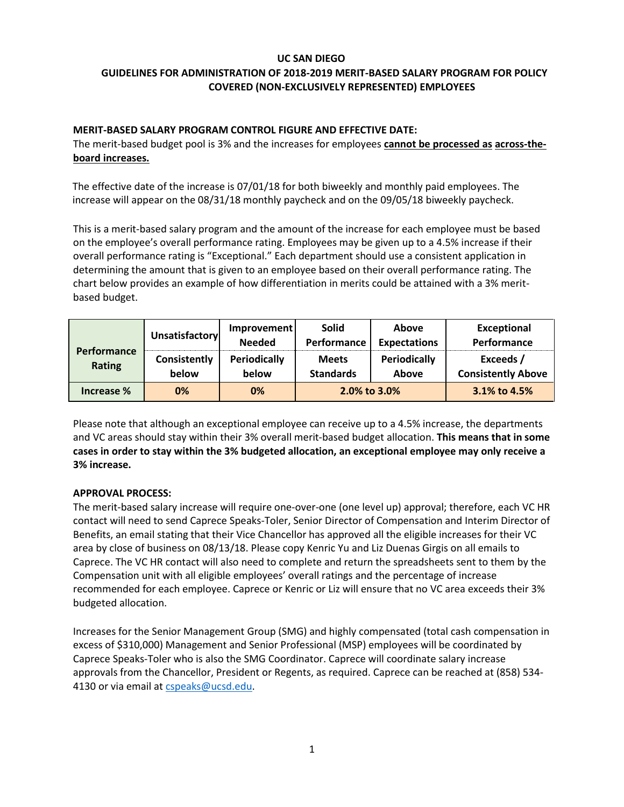### **UC SAN DIEGO**

# **GUIDELINES FOR ADMINISTRATION OF 2018‐2019 MERIT‐BASED SALARY PROGRAM FOR POLICY COVERED (NON‐EXCLUSIVELY REPRESENTED) EMPLOYEES**

## **MERIT‐BASED SALARY PROGRAM CONTROL FIGURE AND EFFECTIVE DATE:**

The merit‐based budget pool is 3% and the increases for employees **cannot be processed as across‐the‐ board increases.**

The effective date of the increase is 07/01/18 for both biweekly and monthly paid employees. The increase will appear on the 08/31/18 monthly paycheck and on the 09/05/18 biweekly paycheck.

This is a merit-based salary program and the amount of the increase for each employee must be based on the employee's overall performance rating. Employees may be given up to a 4.5% increase if their overall performance rating is "Exceptional." Each department should use a consistent application in determining the amount that is given to an employee based on their overall performance rating. The chart below provides an example of how differentiation in merits could be attained with a 3% merit‐ based budget.

| <b>Performance</b><br><b>Rating</b> | Unsatisfactory        | Improvement<br><b>Needed</b> | <b>Solid</b><br>Performance      | Above<br><b>Expectations</b> | <b>Exceptional</b><br>Performance      |
|-------------------------------------|-----------------------|------------------------------|----------------------------------|------------------------------|----------------------------------------|
|                                     | Consistently<br>below | <b>Periodically</b><br>below | <b>Meets</b><br><b>Standards</b> | <b>Periodically</b><br>Above | Exceeds /<br><b>Consistently Above</b> |
| Increase %                          | 0%                    | 0%                           | 2.0% to 3.0%                     |                              | 3.1% to 4.5%                           |

Please note that although an exceptional employee can receive up to a 4.5% increase, the departments and VC areas should stay within their 3% overall merit‐based budget allocation. **This means that in some cases in order to stay within the 3% budgeted allocation, an exceptional employee may only receive a 3% increase.**

### **APPROVAL PROCESS:**

The merit‐based salary increase will require one‐over‐one (one level up) approval; therefore, each VC HR contact will need to send Caprece Speaks‐Toler, Senior Director of Compensation and Interim Director of Benefits, an email stating that their Vice Chancellor has approved all the eligible increases for their VC area by close of business on 08/13/18. Please copy Kenric Yu and Liz Duenas Girgis on all emails to Caprece. The VC HR contact will also need to complete and return the spreadsheets sent to them by the Compensation unit with all eligible employees' overall ratings and the percentage of increase recommended for each employee. Caprece or Kenric or Liz will ensure that no VC area exceeds their 3% budgeted allocation.

Increases for the Senior Management Group (SMG) and highly compensated (total cash compensation in excess of \$310,000) Management and Senior Professional (MSP) employees will be coordinated by Caprece Speaks-Toler who is also the SMG Coordinator. Caprece will coordinate salary increase approvals from the Chancellor, President or Regents, as required. Caprece can be reached at (858) 534‐ 4130 or via email a[t cspeaks@ucsd.edu.](mailto:cspeaks@ucsd.edu)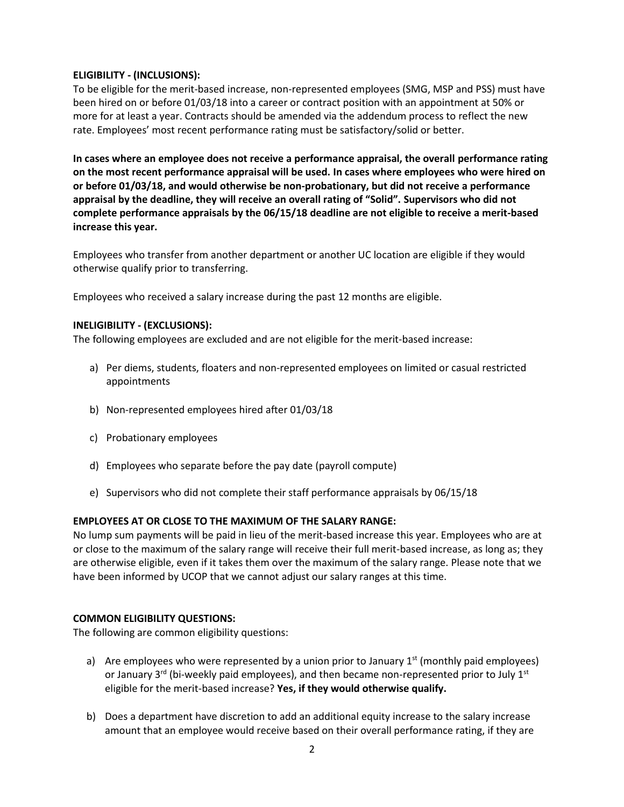### **ELIGIBILITY ‐ (INCLUSIONS):**

To be eligible for the merit‐based increase, non‐represented employees (SMG, MSP and PSS) must have been hired on or before 01/03/18 into a career or contract position with an appointment at 50% or more for at least a year. Contracts should be amended via the addendum process to reflect the new rate. Employees' most recent performance rating must be satisfactory/solid or better.

**In cases where an employee does not receive a performance appraisal, the overall performance rating on the most recent performance appraisal will be used. In cases where employees who were hired on or before 01/03/18, and would otherwise be non-probationary, but did not receive a performance appraisal by the deadline, they will receive an overall rating of "Solid". Supervisors who did not complete performance appraisals by the 06/15/18 deadline are not eligible to receive a merit‐based increase this year.**

Employees who transfer from another department or another UC location are eligible if they would otherwise qualify prior to transferring.

Employees who received a salary increase during the past 12 months are eligible.

### **INELIGIBILITY ‐ (EXCLUSIONS):**

The following employees are excluded and are not eligible for the merit‐based increase:

- a) Per diems, students, floaters and non-represented employees on limited or casual restricted appointments
- b) Non‐represented employees hired after 01/03/18
- c) Probationary employees
- d) Employees who separate before the pay date (payroll compute)
- e) Supervisors who did not complete their staff performance appraisals by 06/15/18

### **EMPLOYEES AT OR CLOSE TO THE MAXIMUM OF THE SALARY RANGE:**

No lump sum payments will be paid in lieu of the merit-based increase this year. Employees who are at or close to the maximum of the salary range will receive their full merit-based increase, as long as; they are otherwise eligible, even if it takes them over the maximum of the salary range. Please note that we have been informed by UCOP that we cannot adjust our salary ranges at this time.

### **COMMON ELIGIBILITY QUESTIONS:**

The following are common eligibility questions:

- a) Are employees who were represented by a union prior to January  $1<sup>st</sup>$  (monthly paid employees) or January 3<sup>rd</sup> (bi-weekly paid employees), and then became non-represented prior to July 1<sup>st</sup> eligible for the merit-based increase? **Yes, if they would otherwise qualify.**
- b) Does a department have discretion to add an additional equity increase to the salary increase amount that an employee would receive based on their overall performance rating, if they are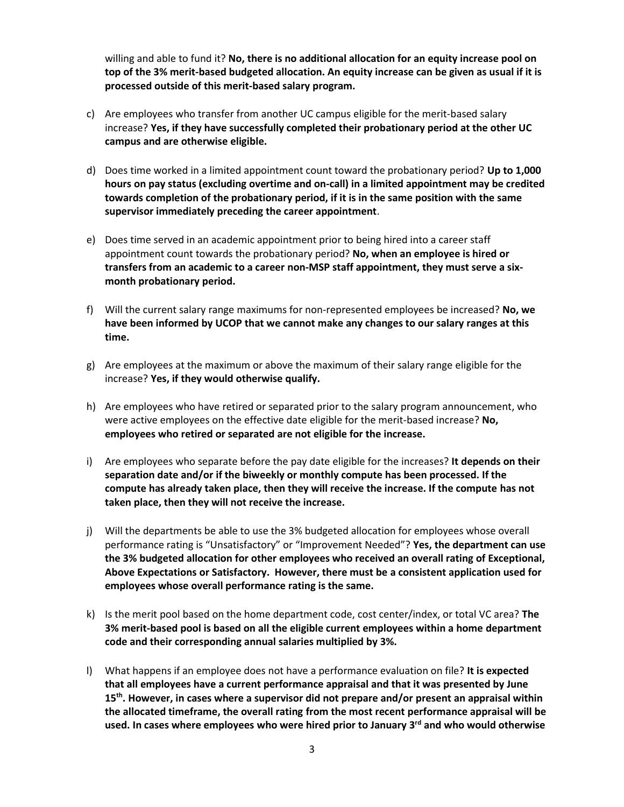willing and able to fund it? **No, there is no additional allocation for an equity increase pool on top of the 3% merit‐based budgeted allocation. An equity increase can be given as usual if it is processed outside of this merit‐based salary program.**

- c) Are employees who transfer from another UC campus eligible for the merit‐based salary increase? **Yes, if they have successfully completed their probationary period at the other UC campus and are otherwise eligible.**
- d) Does time worked in a limited appointment count toward the probationary period? **Up to 1,000 hours on pay status (excluding overtime and on‐call) in a limited appointment may be credited towards completion of the probationary period, if it is in the same position with the same supervisor immediately preceding the career appointment**.
- e) Does time served in an academic appointment prior to being hired into a career staff appointment count towards the probationary period? **No, when an employee is hired or transfers from an academic to a career non-MSP staff appointment, they must serve a six‐ month probationary period.**
- f) Will the current salary range maximums for non‐represented employees be increased? **No, we have been informed by UCOP that we cannot make any changes to our salary ranges at this time.**
- g) Are employees at the maximum or above the maximum of their salary range eligible for the increase? **Yes, if they would otherwise qualify.**
- h) Are employees who have retired or separated prior to the salary program announcement, who were active employees on the effective date eligible for the merit‐based increase? **No, employees who retired or separated are not eligible for the increase.**
- i) Are employees who separate before the pay date eligible for the increases? **It depends on their separation date and/or if the biweekly or monthly compute has been processed. If the compute has already taken place, then they will receive the increase. If the compute has not taken place, then they will not receive the increase.**
- j) Will the departments be able to use the 3% budgeted allocation for employees whose overall performance rating is "Unsatisfactory" or "Improvement Needed"? **Yes, the department can use the 3% budgeted allocation for other employees who received an overall rating of Exceptional, Above Expectations or Satisfactory. However, there must be a consistent application used for employees whose overall performance rating is the same.**
- k) Is the merit pool based on the home department code, cost center/index, or total VC area? **The 3% merit‐based pool is based on all the eligible current employees within a home department code and their corresponding annual salaries multiplied by 3%.**
- l) What happens if an employee does not have a performance evaluation on file? **It is expected that all employees have a current performance appraisal and that it was presented by June 15th . However, in cases where a supervisor did not prepare and/or present an appraisal within the allocated timeframe, the overall rating from the most recent performance appraisal will be used. In cases where employees who were hired prior to January 3rd and who would otherwise**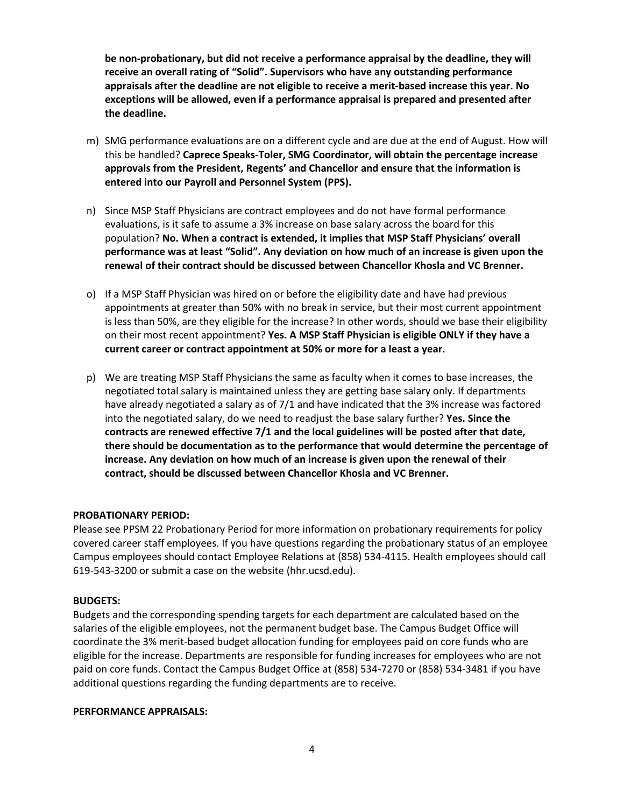**be non-probationary, but did not receive a performance appraisal by the deadline, they will receive an overall rating of "Solid". Supervisors who have any outstanding performance appraisals after the deadline are not eligible to receive a merit-based increase this year. No exceptions will be allowed, even if a performance appraisal is prepared and presented after the deadline.**

- m) SMG performance evaluations are on a different cycle and are due at the end of August. How will this be handled? **Caprece Speaks-Toler, SMG Coordinator, will obtain the percentage increase approvals from the President, Regents' and Chancellor and ensure that the information is entered into our Payroll and Personnel System (PPS).**
- n) Since MSP Staff Physicians are contract employees and do not have formal performance evaluations, is it safe to assume a 3% increase on base salary across the board for this population? **No. When a contract is extended, it implies that MSP Staff Physicians' overall performance was at least "Solid". Any deviation on how much of an increase is given upon the renewal of their contract should be discussed between Chancellor Khosla and VC Brenner.**
- o) If a MSP Staff Physician was hired on or before the eligibility date and have had previous appointments at greater than 50% with no break in service, but their most current appointment is less than 50%, are they eligible for the increase? In other words, should we base their eligibility on their most recent appointment? **Yes. A MSP Staff Physician is eligible ONLY if they have a current career or contract appointment at 50% or more for a least a year.**
- p) We are treating MSP Staff Physicians the same as faculty when it comes to base increases, the negotiated total salary is maintained unless they are getting base salary only. If departments have already negotiated a salary as of 7/1 and have indicated that the 3% increase was factored into the negotiated salary, do we need to readjust the base salary further? **Yes. Since the contracts are renewed effective 7/1 and the local guidelines will be posted after that date, there should be documentation as to the performance that would determine the percentage of increase. Any deviation on how much of an increase is given upon the renewal of their contract, should be discussed between Chancellor Khosla and VC Brenner.**

### **PROBATIONARY PERIOD:**

Please see PPSM 22 Probationary Period for more information on probationary requirements for policy covered career staff employees. If you have questions regarding the probationary status of an employee Campus employees should contact Employee Relations at (858) 534‐4115. Health employees should call 619-543-3200 or submit a case on the website (hhr.ucsd.edu).

### **BUDGETS:**

Budgets and the corresponding spending targets for each department are calculated based on the salaries of the eligible employees, not the permanent budget base. The Campus Budget Office will coordinate the 3% merit‐based budget allocation funding for employees paid on core funds who are eligible for the increase. Departments are responsible for funding increases for employees who are not paid on core funds. Contact the Campus Budget Office at (858) 534-7270 or (858) 534‐3481 if you have additional questions regarding the funding departments are to receive.

#### **PERFORMANCE APPRAISALS:**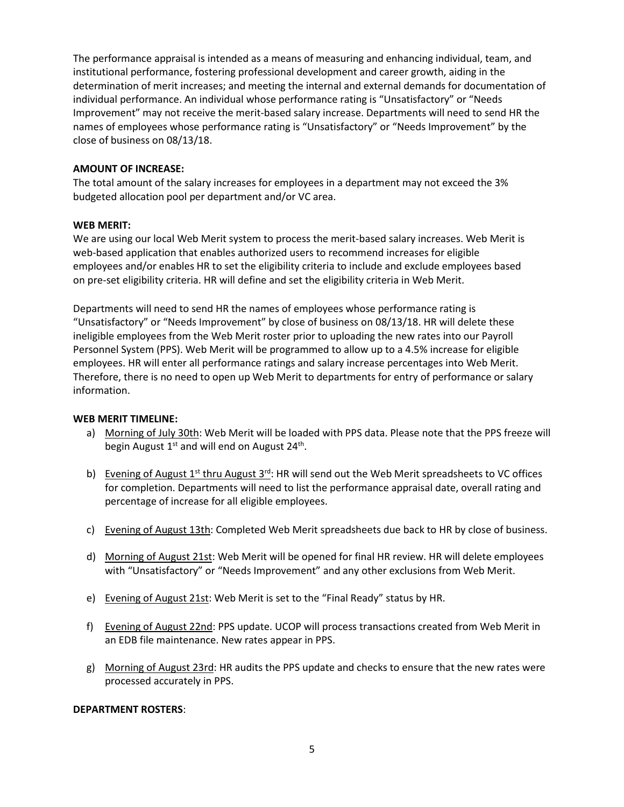The performance appraisal is intended as a means of measuring and enhancing individual, team, and institutional performance, fostering professional development and career growth, aiding in the determination of merit increases; and meeting the internal and external demands for documentation of individual performance. An individual whose performance rating is "Unsatisfactory" or "Needs Improvement" may not receive the merit‐based salary increase. Departments will need to send HR the names of employees whose performance rating is "Unsatisfactory" or "Needs Improvement" by the close of business on 08/13/18.

### **AMOUNT OF INCREASE:**

The total amount of the salary increases for employees in a department may not exceed the 3% budgeted allocation pool per department and/or VC area.

#### **WEB MERIT:**

We are using our local Web Merit system to process the merit-based salary increases. Web Merit is web-based application that enables authorized users to recommend increases for eligible employees and/or enables HR to set the eligibility criteria to include and exclude employees based on pre‐set eligibility criteria. HR will define and set the eligibility criteria in Web Merit.

Departments will need to send HR the names of employees whose performance rating is "Unsatisfactory" or "Needs Improvement" by close of business on 08/13/18. HR will delete these ineligible employees from the Web Merit roster prior to uploading the new rates into our Payroll Personnel System (PPS). Web Merit will be programmed to allow up to a 4.5% increase for eligible employees. HR will enter all performance ratings and salary increase percentages into Web Merit. Therefore, there is no need to open up Web Merit to departments for entry of performance or salary information.

#### **WEB MERIT TIMELINE:**

- a) Morning of July 30th: Web Merit will be loaded with PPS data. Please note that the PPS freeze will begin August 1<sup>st</sup> and will end on August 24<sup>th</sup>.
- b) Evening of August  $1^{st}$  thru August  $3^{rd}$ : HR will send out the Web Merit spreadsheets to VC offices for completion. Departments will need to list the performance appraisal date, overall rating and percentage of increase for all eligible employees.
- c) Evening of August 13th: Completed Web Merit spreadsheets due back to HR by close of business.
- d) Morning of August 21st: Web Merit will be opened for final HR review. HR will delete employees with "Unsatisfactory" or "Needs Improvement" and any other exclusions from Web Merit.
- e) Evening of August 21st: Web Merit is set to the "Final Ready" status by HR.
- f) Evening of August 22nd: PPS update. UCOP will process transactions created from Web Merit in an EDB file maintenance. New rates appear in PPS.
- g) Morning of August 23rd: HR audits the PPS update and checks to ensure that the new rates were processed accurately in PPS.

#### **DEPARTMENT ROSTERS**: